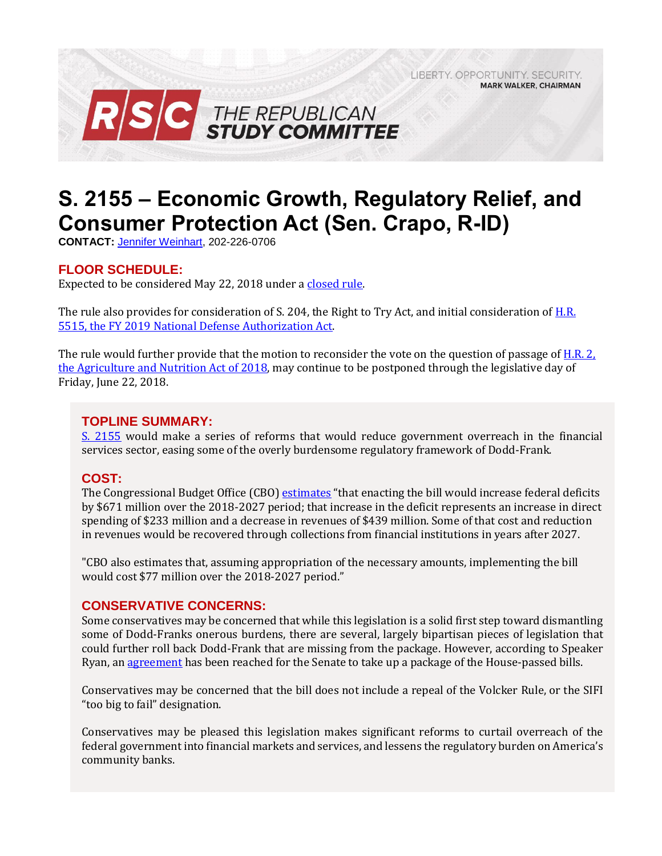LIBERTY, OPPORTUNITY, SECURITY, **MARK WALKER, CHAIRMAN** 



# **S. 2155 – Economic Growth, Regulatory Relief, and Consumer Protection Act (Sen. Crapo, R-ID)**

**CONTACT:** [Jennifer Weinhart,](mailto:jennifer.weinhart@mail.house.gov) 202-226-0706

## **FLOOR SCHEDULE:**

Expected to be considered May 22, 2018 under [a closed rule.](https://rules.house.gov/bill/115/s-2155)

The rule also provides for consideration of S. 204, the Right to Try Act, and initial consideration of H.R. [5515, the FY 2019 National Defense Authorization Act.](https://gallery.mailchimp.com/d4254037a343b683d142111e0/files/6ac646b1-3f9d-4849-bfb6-99f44c1c0707/Legislative_Bulletin_H.R._5515_FY_2019_NDAA_May_22_2018.pdf) 

The rule would further provide that the motion to reconsider the vote on the question of passage of H.R. 2, [the Agriculture and Nutrition Act of 2018,](https://gallery.mailchimp.com/d4254037a343b683d142111e0/files/b1149471-563e-446e-a9ec-e5d4118d4c52/Legislative_Bulletin_H.R._2_Farm_Bill_May_16_2018.pdf) may continue to be postponed through the legislative day of Friday, June 22, 2018.

#### **TOPLINE SUMMARY:**

[S. 2155](https://www.gpo.gov/fdsys/pkg/BILLS-115s2155es/pdf/BILLS-115s2155es.pdf) would make a series of reforms that would reduce government overreach in the financial services sector, easing some of the overly burdensome regulatory framework of Dodd-Frank.

## **COST:**

The Congressional Budget Office (CBO) [estimates](https://www.cbo.gov/system/files/115th-congress-2017-2018/costestimate/s2155.pdf) "that enacting the bill would increase federal deficits by \$671 million over the 2018-2027 period; that increase in the deficit represents an increase in direct spending of \$233 million and a decrease in revenues of \$439 million. Some of that cost and reduction in revenues would be recovered through collections from financial institutions in years after 2027.

"CBO also estimates that, assuming appropriation of the necessary amounts, implementing the bill would cost \$77 million over the 2018-2027 period."

#### **CONSERVATIVE CONCERNS:**

Some conservatives may be concerned that while this legislation is a solid first step toward dismantling some of Dodd-Franks onerous burdens, there are several, largely bipartisan pieces of legislation that could further roll back Dodd-Frank that are missing from the package. However, according to Speaker Ryan, an [agreement](http://thehill.com/policy/finance/386703-ryan-house-and-senate-have-struck-deal-on-dodd-frank-rollback) has been reached for the Senate to take up a package of the House-passed bills.

Conservatives may be concerned that the bill does not include a repeal of the Volcker Rule, or the SIFI "too big to fail" designation.

Conservatives may be pleased this legislation makes significant reforms to curtail overreach of the federal government into financial markets and services, and lessens the regulatory burden on America's community banks.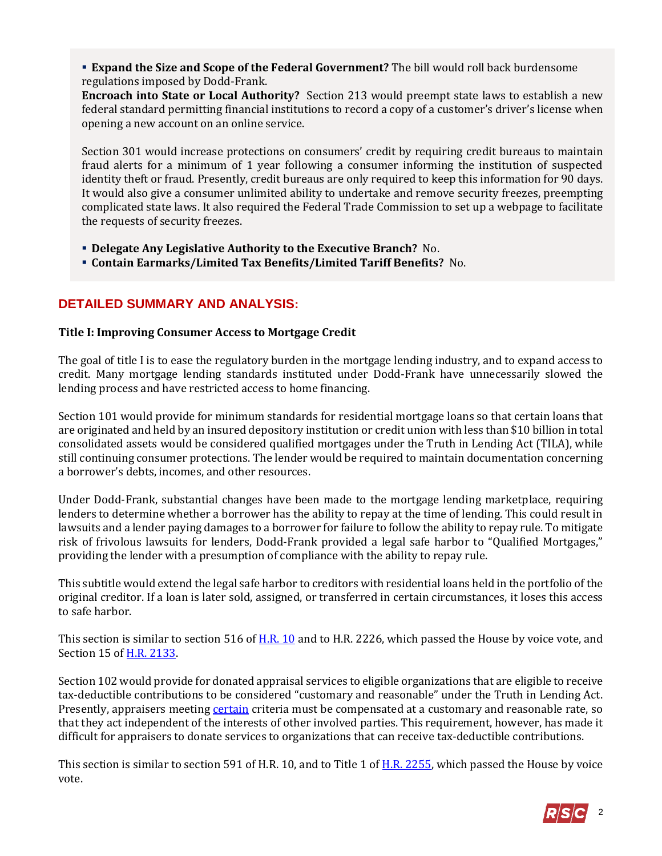**Expand the Size and Scope of the Federal Government?** The bill would roll back burdensome regulations imposed by Dodd-Frank.

**Encroach into State or Local Authority?** Section 213 would preempt state laws to establish a new federal standard permitting financial institutions to record a copy of a customer's driver's license when opening a new account on an online service.

Section 301 would increase protections on consumers' credit by requiring credit bureaus to maintain fraud alerts for a minimum of 1 year following a consumer informing the institution of suspected identity theft or fraud. Presently, credit bureaus are only required to keep this information for 90 days. It would also give a consumer unlimited ability to undertake and remove security freezes, preempting complicated state laws. It also required the Federal Trade Commission to set up a webpage to facilitate the requests of security freezes.

- **Delegate Any Legislative Authority to the Executive Branch?** No.
- **Contain Earmarks/Limited Tax Benefits/Limited Tariff Benefits?** No.

# **DETAILED SUMMARY AND ANALYSIS:**

#### **Title I: Improving Consumer Access to Mortgage Credit**

The goal of title I is to ease the regulatory burden in the mortgage lending industry, and to expand access to credit. Many mortgage lending standards instituted under Dodd-Frank have unnecessarily slowed the lending process and have restricted access to home financing.

Section 101 would provide for minimum standards for residential mortgage loans so that certain loans that are originated and held by an insured depository institution or credit union with less than \$10 billion in total consolidated assets would be considered qualified mortgages under the Truth in Lending Act (TILA), while still continuing consumer protections. The lender would be required to maintain documentation concerning a borrower's debts, incomes, and other resources.

Under Dodd-Frank, substantial changes have been made to the mortgage lending marketplace, requiring lenders to determine whether a borrower has the ability to repay at the time of lending. This could result in lawsuits and a lender paying damages to a borrower for failure to follow the ability to repay rule. To mitigate risk of frivolous lawsuits for lenders, Dodd-Frank provided a legal safe harbor to "Qualified Mortgages," providing the lender with a presumption of compliance with the ability to repay rule.

This subtitle would extend the legal safe harbor to creditors with residential loans held in the portfolio of the original creditor. If a loan is later sold, assigned, or transferred in certain circumstances, it loses this access to safe harbor.

This section is similar to section 516 of [H.R. 10](https://www.congress.gov/115/bills/hr10/BILLS-115hr10rfs.pdf) and to H.R. 2226, which passed the House by voice vote, and Section 15 of [H.R. 2133.](https://www.congress.gov/115/bills/hr2133/BILLS-115hr2133ih.pdf)

Section 102 would provide for donated appraisal services to eligible organizations that are eligible to receive tax-deductible contributions to be considered "customary and reasonable" under the Truth in Lending Act. Presently, appraisers meeting [certain](https://fas.org/sgp/crs/misc/R45073.pdf) criteria must be compensated at a customary and reasonable rate, so that they act independent of the interests of other involved parties. This requirement, however, has made it difficult for appraisers to donate services to organizations that can receive tax-deductible contributions.

This section is similar to section 591 of H.R. 10, and to Title 1 of <u>H.R. 2255</u>, which passed the House by voice vote.

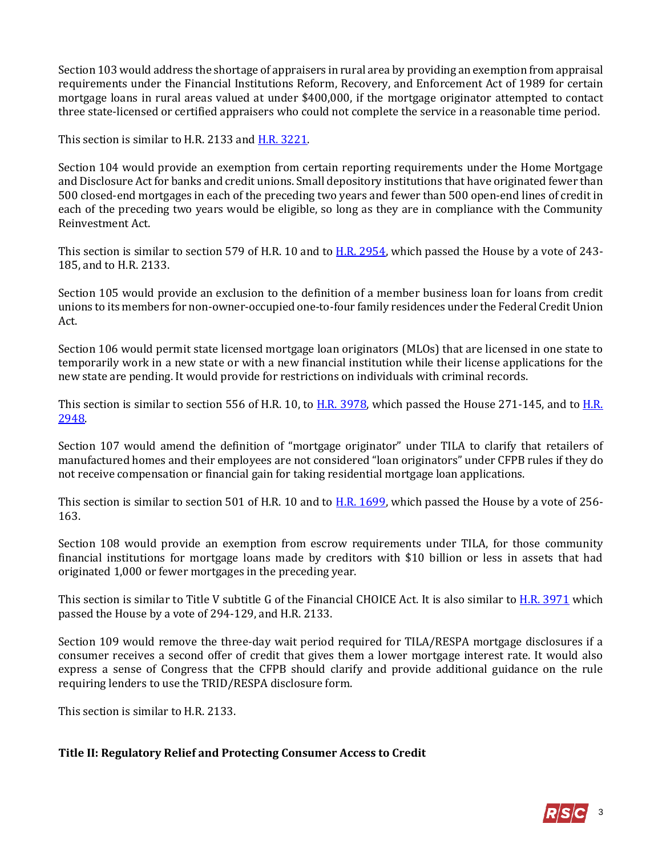Section 103 would address the shortage of appraisers in rural area by providing an exemption from appraisal requirements under the Financial Institutions Reform, Recovery, and Enforcement Act of 1989 for certain mortgage loans in rural areas valued at under \$400,000, if the mortgage originator attempted to contact three state-licensed or certified appraisers who could not complete the service in a reasonable time period.

This section is similar to H.R. 2133 an[d H.R. 3221.](https://www.congress.gov/115/bills/hr3221/BILLS-115hr3221rh.pdf)

Section 104 would provide an exemption from certain reporting requirements under the Home Mortgage and Disclosure Act for banks and credit unions. Small depository institutions that have originated fewer than 500 closed-end mortgages in each of the preceding two years and fewer than 500 open-end lines of credit in each of the preceding two years would be eligible, so long as they are in compliance with the Community Reinvestment Act.

This section is similar to section 579 of H.R. 10 and to [H.R. 2954,](https://www.congress.gov/bill/115th-congress/house-bill/2954?q=%7B%22search%22%3A%5B%22hr2954%22%5D%7D&r=1) which passed the House by a vote of 243- 185, and to H.R. 2133.

Section 105 would provide an exclusion to the definition of a member business loan for loans from credit unions to its members for non-owner-occupied one-to-four family residences under the Federal Credit Union Act.

Section 106 would permit state licensed mortgage loan originators (MLOs) that are licensed in one state to temporarily work in a new state or with a new financial institution while their license applications for the new state are pending. It would provide for restrictions on individuals with criminal records.

This section is similar to section 556 of H.R. 10, to [H.R. 3978,](https://www.congress.gov/bill/115th-congress/house-bill/3978?q=%7B%22search%22%3A%5B%22hr3978%22%5D%7D&r=1) which passed the House 271-145, and to [H.R.](https://www.congress.gov/bill/115th-congress/house-bill/2948?q=%7B%22search%22%3A%5B%22hr2948%22%5D%7D&r=1) [2948.](https://www.congress.gov/bill/115th-congress/house-bill/2948?q=%7B%22search%22%3A%5B%22hr2948%22%5D%7D&r=1)

Section 107 would amend the definition of "mortgage originator" under TILA to clarify that retailers of manufactured homes and their employees are not considered "loan originators" under CFPB rules if they do not receive compensation or financial gain for taking residential mortgage loan applications.

This section is similar to section 501 of H.R. 10 and to [H.R. 1699,](https://www.congress.gov/bill/115th-congress/house-bill/1699?q=%7B%22search%22%3A%5B%22hr1699%22%5D%7D&r=1) which passed the House by a vote of 256- 163.

Section 108 would provide an exemption from escrow requirements under TILA, for those community financial institutions for mortgage loans made by creditors with \$10 billion or less in assets that had originated 1,000 or fewer mortgages in the preceding year.

This section is similar to Title V subtitle G of the Financial CHOICE Act. It is also similar t[o H.R. 3971](https://www.congress.gov/bill/115th-congress/house-bill/3971?q=%7B%22search%22%3A%5B%22hr3971%22%5D%7D&r=1) which passed the House by a vote of 294-129, and H.R. 2133.

Section 109 would remove the three-day wait period required for TILA/RESPA mortgage disclosures if a consumer receives a second offer of credit that gives them a lower mortgage interest rate. It would also express a sense of Congress that the CFPB should clarify and provide additional guidance on the rule requiring lenders to use the TRID/RESPA disclosure form.

This section is similar to H.R. 2133.

#### **Title II: Regulatory Relief and Protecting Consumer Access to Credit**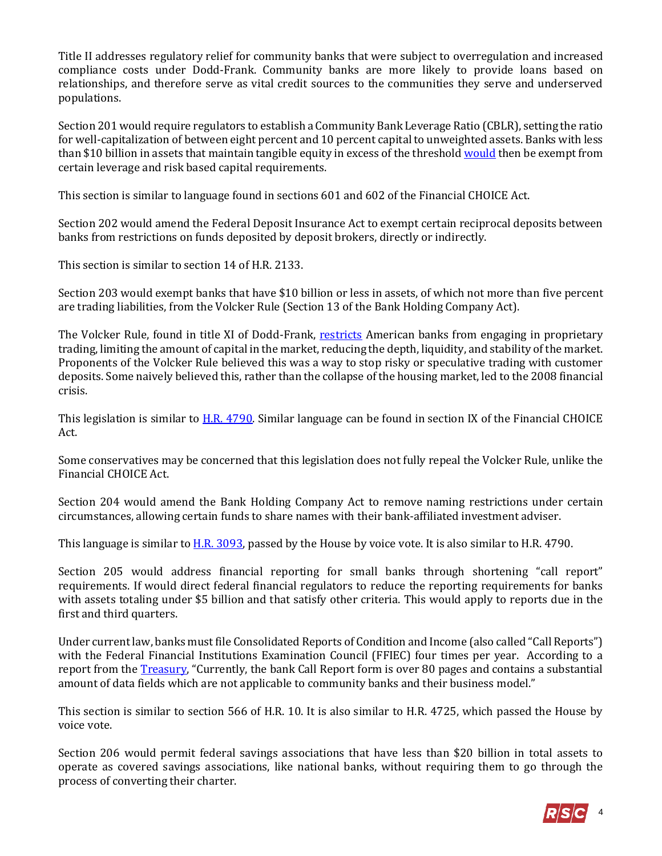Title II addresses regulatory relief for community banks that were subject to overregulation and increased compliance costs under Dodd-Frank. Community banks are more likely to provide loans based on relationships, and therefore serve as vital credit sources to the communities they serve and underserved populations.

Section 201 would require regulators to establish a Community Bank Leverage Ratio (CBLR), setting the ratio for well-capitalization of between eight percent and 10 percent capital to unweighted assets. Banks with less than \$10 billion in assets that maintain tangible equity in excess of the threshol[d would](https://fas.org/sgp/crs/misc/R45073.pdf) then be exempt from certain leverage and risk based capital requirements.

This section is similar to language found in sections 601 and 602 of the Financial CHOICE Act.

Section 202 would amend the Federal Deposit Insurance Act to exempt certain reciprocal deposits between banks from restrictions on funds deposited by deposit brokers, directly or indirectly.

This section is similar to section 14 of H.R. 2133.

Section 203 would exempt banks that have \$10 billion or less in assets, of which not more than five percent are trading liabilities, from the Volcker Rule (Section 13 of the Bank Holding Company Act).

The Volcker Rule, found in title XI of Dodd-Frank, [restricts](https://www.atr.org/financial-services-looks-repeal-volcker-rule-and-rein-dodd-frank) American banks from engaging in proprietary trading, limiting the amount of capital in the market, reducing the depth, liquidity, and stability of the market. Proponents of the Volcker Rule believed this was a way to stop risky or speculative trading with customer deposits. Some naively believed this, rather than the collapse of the housing market, led to the 2008 financial crisis.

This legislation is similar to [H.R. 4790.](https://www.congress.gov/bill/115th-congress/house-bill/4790?q=%7B%22search%22%3A%5B%22H.R.+4790%22%5D%7D&r=1) Similar language can be found in section IX of the Financial CHOICE Act.

Some conservatives may be concerned that this legislation does not fully repeal the Volcker Rule, unlike the Financial CHOICE Act.

Section 204 would amend the Bank Holding Company Act to remove naming restrictions under certain circumstances, allowing certain funds to share names with their bank-affiliated investment adviser.

This language is similar to [H.R. 3093,](https://www.congress.gov/bill/115th-congress/house-bill/3093?q=%7B%22search%22%3A%5B%22H.R.+3093%22%5D%7D&r=1) passed by the House by voice vote. It is also similar to H.R. 4790.

Section 205 would address financial reporting for small banks through shortening "call report" requirements. If would direct federal financial regulators to reduce the reporting requirements for banks with assets totaling under \$5 billion and that satisfy other criteria. This would apply to reports due in the first and third quarters.

Under current law, banks must file Consolidated Reports of Condition and Income (also called "Call Reports") with the Federal Financial Institutions Examination Council (FFIEC) four times per year. According to a report from the [Treasury](https://www.treasury.gov/press-center/press-releases/Documents/A%20Financial%20System.pdf), "Currently, the bank Call Report form is over 80 pages and contains a substantial amount of data fields which are not applicable to community banks and their business model."

This section is similar to section 566 of H.R. 10. It is also similar to H.R. 4725, which passed the House by voice vote.

Section 206 would permit federal savings associations that have less than \$20 billion in total assets to operate as covered savings associations, like national banks, without requiring them to go through the process of converting their charter.

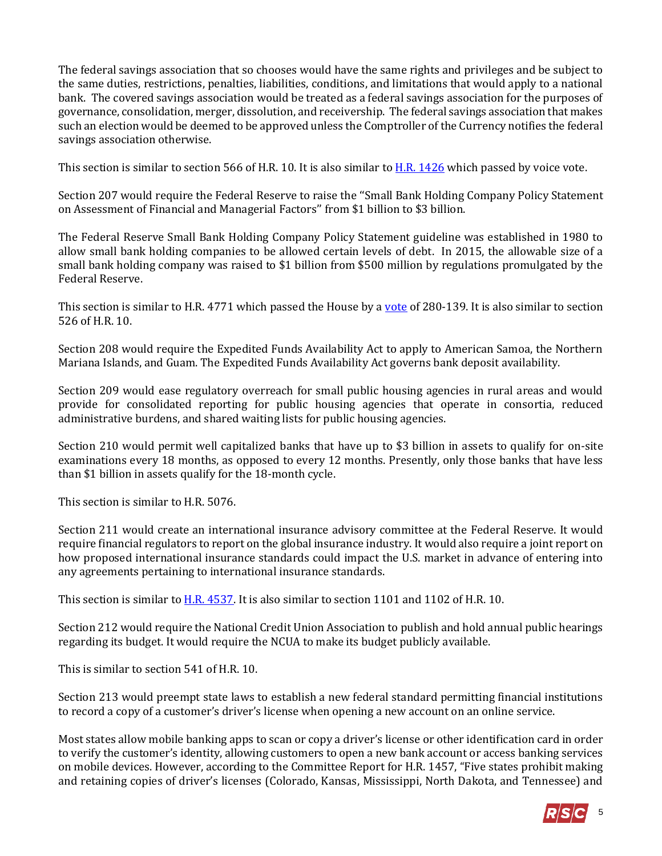The federal savings association that so chooses would have the same rights and privileges and be subject to the same duties, restrictions, penalties, liabilities, conditions, and limitations that would apply to a national bank. The covered savings association would be treated as a federal savings association for the purposes of governance, consolidation, merger, dissolution, and receivership. The federal savings association that makes such an election would be deemed to be approved unless the Comptroller of the Currency notifies the federal savings association otherwise.

This section is similar to section 566 of H.R. 10. It is also similar t[o H.R. 1426](https://www.congress.gov/bill/115th-congress/house-bill/1426?q=%7B%22search%22%3A%5B%22H.R.+1426%22%5D%7D&r=1) which passed by voice vote.

Section 207 would require the Federal Reserve to raise the ''Small Bank Holding Company Policy Statement on Assessment of Financial and Managerial Factors'' from \$1 billion to \$3 billion.

The Federal Reserve Small Bank Holding Company Policy Statement guideline was established in 1980 to allow small bank holding companies to be allowed certain levels of debt. In 2015, the allowable size of a small bank holding company was raised to \$1 billion from \$500 million by regulations promulgated by the Federal Reserve.

This section is similar to H.R. 4771 which passed the House by a [vote](http://clerk.house.gov/evs/2018/roll066.xml) of 280-139. It is also similar to section 526 of H.R. 10.

Section 208 would require the Expedited Funds Availability Act to apply to American Samoa, the Northern Mariana Islands, and Guam. The Expedited Funds Availability Act governs bank deposit availability.

Section 209 would ease regulatory overreach for small public housing agencies in rural areas and would provide for consolidated reporting for public housing agencies that operate in consortia, reduced administrative burdens, and shared waiting lists for public housing agencies.

Section 210 would permit well capitalized banks that have up to \$3 billion in assets to qualify for on-site examinations every 18 months, as opposed to every 12 months. Presently, only those banks that have less than \$1 billion in assets qualify for the 18-month cycle.

This section is similar to H.R. 5076.

Section 211 would create an international insurance advisory committee at the Federal Reserve. It would require financial regulators to report on the global insurance industry. It would also require a joint report on how proposed international insurance standards could impact the U.S. market in advance of entering into any agreements pertaining to international insurance standards.

This section is similar t[o H.R. 4537.](https://www.congress.gov/bill/115th-congress/house-bill/4537?q=%7B%22search%22%3A%5B%22H.R.+4537%22%5D%7D&r=1) It is also similar to section 1101 and 1102 of H.R. 10.

Section 212 would require the National Credit Union Association to publish and hold annual public hearings regarding its budget. It would require the NCUA to make its budget publicly available.

This is similar to section 541 of H.R. 10.

Section 213 would preempt state laws to establish a new federal standard permitting financial institutions to record a copy of a customer's driver's license when opening a new account on an online service.

Most states allow mobile banking apps to scan or copy a driver's license or other identification card in order to verify the customer's identity, allowing customers to open a new bank account or access banking services on mobile devices. However, according to the Committee Report for H.R. 1457, "Five states prohibit making and retaining copies of driver's licenses (Colorado, Kansas, Mississippi, North Dakota, and Tennessee) and

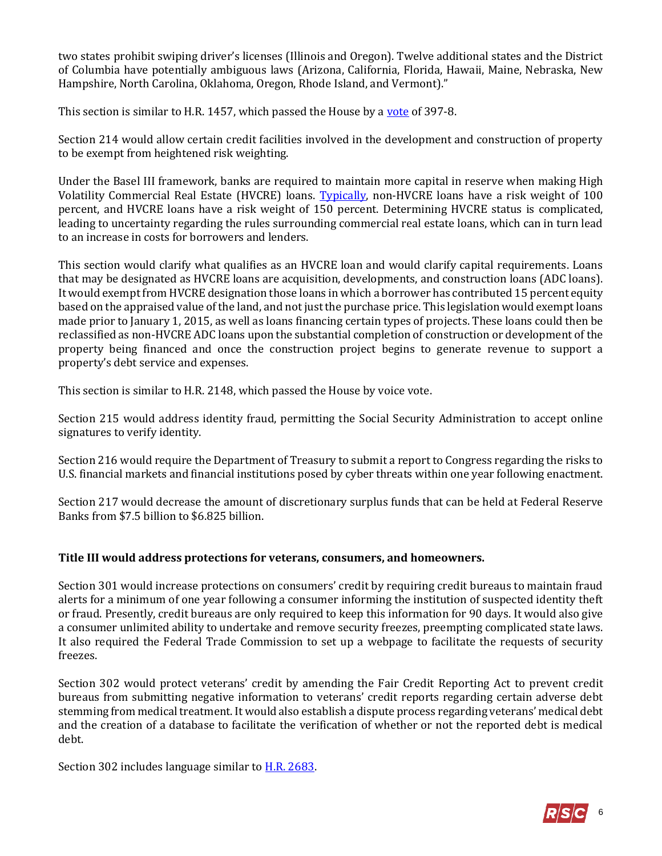two states prohibit swiping driver's licenses (Illinois and Oregon). Twelve additional states and the District of Columbia have potentially ambiguous laws (Arizona, California, Florida, Hawaii, Maine, Nebraska, New Hampshire, North Carolina, Oklahoma, Oregon, Rhode Island, and Vermont)."

This section is similar to H.R. 1457, which passed the House by a [vote](http://clerk.house.gov/evs/2018/roll046.xml) of 397-8.

Section 214 would allow certain credit facilities involved in the development and construction of property to be exempt from heightened risk weighting.

Under the Basel III framework, banks are required to maintain more capital in reserve when making High Volatility Commercial Real Estate (HVCRE) loans. [Typically,](https://www.finservblog.com/2017/07/h-r-2148-introduced-to-clarify-hvcre-rules/) non-HVCRE loans have a risk weight of 100 percent, and HVCRE loans have a risk weight of 150 percent. Determining HVCRE status is complicated, leading to uncertainty regarding the rules surrounding commercial real estate loans, which can in turn lead to an increase in costs for borrowers and lenders.

This section would clarify what qualifies as an HVCRE loan and would clarify capital requirements. Loans that may be designated as HVCRE loans are acquisition, developments, and construction loans (ADC loans). It would exempt from HVCRE designation those loans in which a borrower has contributed 15 percent equity based on the appraised value of the land, and not just the purchase price. This legislation would exempt loans made prior to January 1, 2015, as well as loans financing certain types of projects. These loans could then be reclassified as non-HVCRE ADC loans upon the substantial completion of construction or development of the property being financed and once the construction project begins to generate revenue to support a property's debt service and expenses.

This section is similar to H.R. 2148, which passed the House by voice vote.

Section 215 would address identity fraud, permitting the Social Security Administration to accept online signatures to verify identity.

Section 216 would require the Department of Treasury to submit a report to Congress regarding the risks to U.S. financial markets and financial institutions posed by cyber threats within one year following enactment.

Section 217 would decrease the amount of discretionary surplus funds that can be held at Federal Reserve Banks from \$7.5 billion to \$6.825 billion.

#### **Title III would address protections for veterans, consumers, and homeowners.**

Section 301 would increase protections on consumers' credit by requiring credit bureaus to maintain fraud alerts for a minimum of one year following a consumer informing the institution of suspected identity theft or fraud. Presently, credit bureaus are only required to keep this information for 90 days. It would also give a consumer unlimited ability to undertake and remove security freezes, preempting complicated state laws. It also required the Federal Trade Commission to set up a webpage to facilitate the requests of security freezes.

Section 302 would protect veterans' credit by amending the Fair Credit Reporting Act to prevent credit bureaus from submitting negative information to veterans' credit reports regarding certain adverse debt stemming from medical treatment. It would also establish a dispute process regarding veterans' medical debt and the creation of a database to facilitate the verification of whether or not the reported debt is medical debt.

Section 302 includes language similar to **H.R. 2683**.

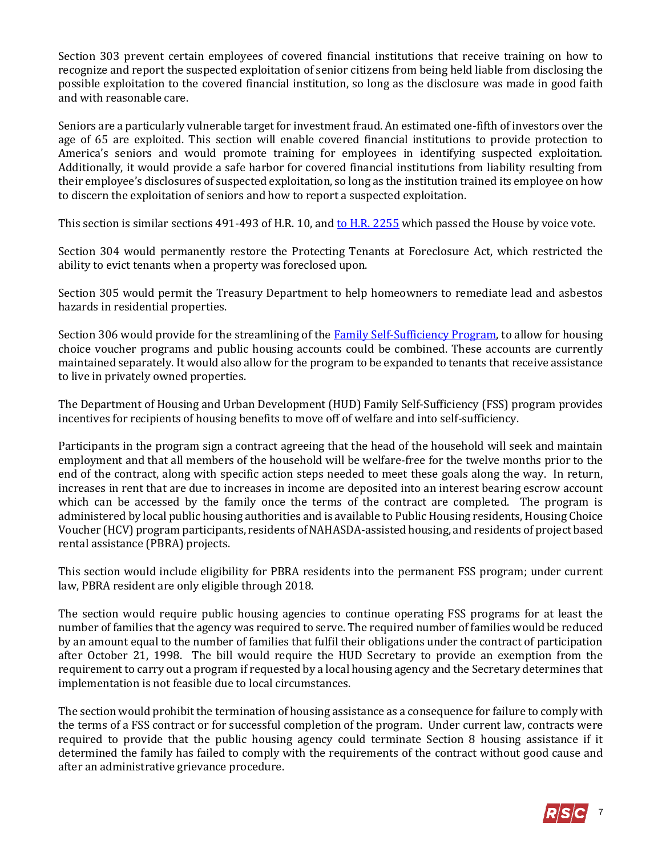Section 303 prevent certain employees of covered financial institutions that receive training on how to recognize and report the suspected exploitation of senior citizens from being held liable from disclosing the possible exploitation to the covered financial institution, so long as the disclosure was made in good faith and with reasonable care.

Seniors are a particularly vulnerable target for investment fraud. An estimated one-fifth of investors over the age of 65 are exploited. This section will enable covered financial institutions to provide protection to America's seniors and would promote training for employees in identifying suspected exploitation. Additionally, it would provide a safe harbor for covered financial institutions from liability resulting from their employee's disclosures of suspected exploitation, so long as the institution trained its employee on how to discern the exploitation of seniors and how to report a suspected exploitation.

This section is similar sections 491-493 of H.R. 10, an[d to H.R. 2255](https://www.congress.gov/bill/115th-congress/house-bill/2255?q=%7B%22search%22%3A%5B%22H.R.+2255%22%5D%7D&r=1) which passed the House by voice vote.

Section 304 would permanently restore the Protecting Tenants at Foreclosure Act, which restricted the ability to evict tenants when a property was foreclosed upon.

Section 305 would permit the Treasury Department to help homeowners to remediate lead and asbestos hazards in residential properties.

Section 306 would provide for the streamlining of the [Family Self-Sufficiency Program,](https://www.hud.gov/program_offices/public_indian_housing/programs/hcv/fss) to allow for housing choice voucher programs and public housing accounts could be combined. These accounts are currently maintained separately. It would also allow for the program to be expanded to tenants that receive assistance to live in privately owned properties.

The Department of Housing and Urban Development (HUD) Family Self-Sufficiency (FSS) program provides incentives for recipients of housing benefits to move off of welfare and into self-sufficiency.

Participants in the program sign a contract agreeing that the head of the household will seek and maintain employment and that all members of the household will be welfare-free for the twelve months prior to the end of the contract, along with specific action steps needed to meet these goals along the way. In return, increases in rent that are due to increases in income are deposited into an interest bearing escrow account which can be accessed by the family once the terms of the contract are completed. The program is administered by local public housing authorities and is available to Public Housing residents, Housing Choice Voucher (HCV) program participants, residents of NAHASDA-assisted housing, and residents of project based rental assistance (PBRA) projects.

This section would include eligibility for PBRA residents into the permanent FSS program; under current law, PBRA resident are only eligible through 2018.

The section would require public housing agencies to continue operating FSS programs for at least the number of families that the agency was required to serve. The required number of families would be reduced by an amount equal to the number of families that fulfil their obligations under the contract of participation after October 21, 1998. The bill would require the HUD Secretary to provide an exemption from the requirement to carry out a program if requested by a local housing agency and the Secretary determines that implementation is not feasible due to local circumstances.

The section would prohibit the termination of housing assistance as a consequence for failure to comply with the terms of a FSS contract or for successful completion of the program. Under current law, contracts were required to provide that the public housing agency could terminate Section 8 housing assistance if it determined the family has failed to comply with the requirements of the contract without good cause and after an administrative grievance procedure.

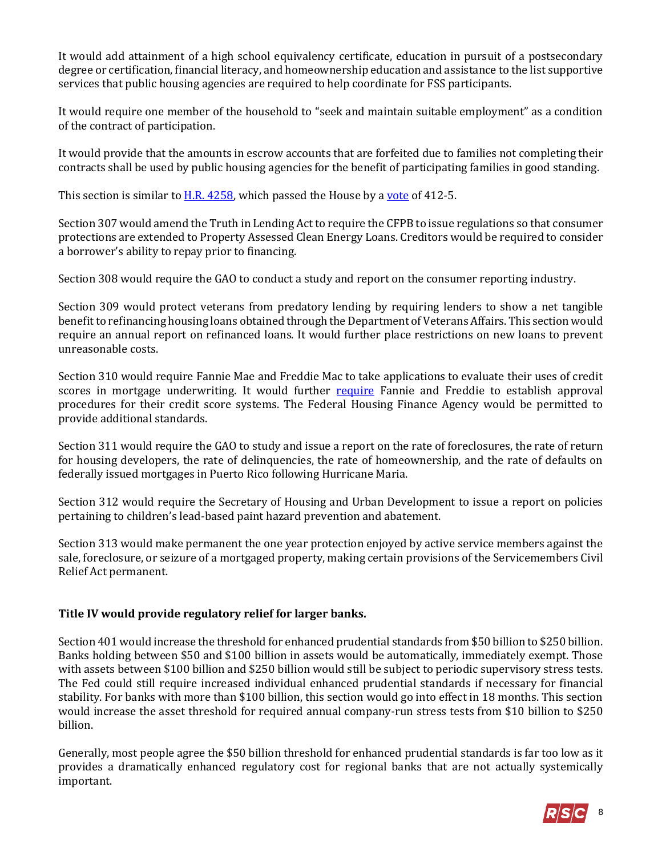It would add attainment of a high school equivalency certificate, education in pursuit of a postsecondary degree or certification, financial literacy, and homeownership education and assistance to the list supportive services that public housing agencies are required to help coordinate for FSS participants.

It would require one member of the household to "seek and maintain suitable employment" as a condition of the contract of participation.

It would provide that the amounts in escrow accounts that are forfeited due to families not completing their contracts shall be used by public housing agencies for the benefit of participating families in good standing.

This section is similar to  $\underline{H.R. 4258}$ , which passed the House by a [vote](http://clerk.house.gov/evs/2018/roll022.xml) of 412-5.

Section 307 would amend the Truth in Lending Act to require the CFPB to issue regulations so that consumer protections are extended to Property Assessed Clean Energy Loans. Creditors would be required to consider a borrower's ability to repay prior to financing.

Section 308 would require the GAO to conduct a study and report on the consumer reporting industry.

Section 309 would protect veterans from predatory lending by requiring lenders to show a net tangible benefit to refinancing housing loans obtained through the Department of Veterans Affairs. This section would require an annual report on refinanced loans. It would further place restrictions on new loans to prevent unreasonable costs.

Section 310 would require Fannie Mae and Freddie Mac to take applications to evaluate their uses of credit scores in mortgage underwriting. It would further [require](https://fas.org/sgp/crs/misc/R45073.pdf) Fannie and Freddie to establish approval procedures for their credit score systems. The Federal Housing Finance Agency would be permitted to provide additional standards.

Section 311 would require the GAO to study and issue a report on the rate of foreclosures, the rate of return for housing developers, the rate of delinquencies, the rate of homeownership, and the rate of defaults on federally issued mortgages in Puerto Rico following Hurricane Maria.

Section 312 would require the Secretary of Housing and Urban Development to issue a report on policies pertaining to children's lead-based paint hazard prevention and abatement.

Section 313 would make permanent the one year protection enjoyed by active service members against the sale, foreclosure, or seizure of a mortgaged property, making certain provisions of the Servicemembers Civil Relief Act permanent.

#### **Title IV would provide regulatory relief for larger banks.**

Section 401 would increase the threshold for enhanced prudential standards from \$50 billion to \$250 billion. Banks holding between \$50 and \$100 billion in assets would be automatically, immediately exempt. Those with assets between \$100 billion and \$250 billion would still be subject to periodic supervisory stress tests. The Fed could still require increased individual enhanced prudential standards if necessary for financial stability. For banks with more than \$100 billion, this section would go into effect in 18 months. This section would increase the asset threshold for required annual company-run stress tests from \$10 billion to \$250 billion.

Generally, most people agree the \$50 billion threshold for enhanced prudential standards is far too low as it provides a dramatically enhanced regulatory cost for regional banks that are not actually systemically important.

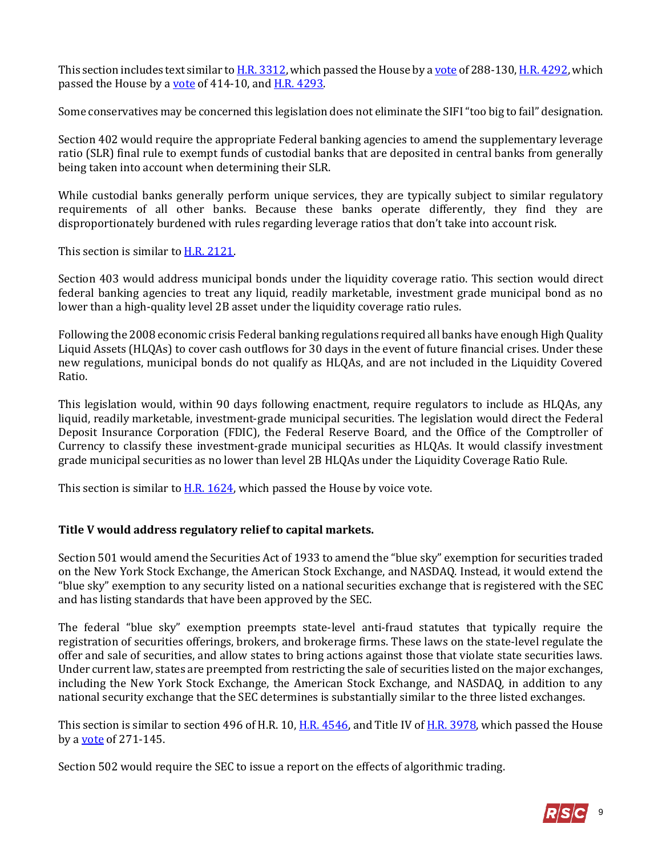This section includes text similar t[o H.R. 3312,](https://www.congress.gov/bill/115th-congress/house-bill/3312?q=%7B%22search%22%3A%5B%22H.R.+3312%22%5D%7D&r=1) which passed the House by [a vote](http://clerk.house.gov/evs/2017/roll694.xml) of 288-130[, H.R. 4292,](https://www.congress.gov/bill/115th-congress/house-bill/4292?q=%7B%22search%22%3A%5B%22H.R.+4292%22%5D%7D&r=1) which passed the House by a [vote](https://www.congress.gov/bill/115th-congress/house-bill/4292/all-actions?overview=closed&q=%7B%22roll-call-vote%22%3A%22all%22%7D) of 414-10, an[d H.R. 4293.](https://www.congress.gov/bill/115th-congress/house-bill/4293?q=%7B%22search%22%3A%5B%22H.R.+4293%22%5D%7D&r=1)

Some conservatives may be concerned this legislation does not eliminate the SIFI "too big to fail" designation.

Section 402 would require the appropriate Federal banking agencies to amend the supplementary leverage ratio (SLR) final rule to exempt funds of custodial banks that are deposited in central banks from generally being taken into account when determining their SLR.

While custodial banks generally perform unique services, they are typically subject to similar regulatory requirements of all other banks. Because these banks operate differently, they find they are disproportionately burdened with rules regarding leverage ratios that don't take into account risk.

This section is similar t[o H.R. 2121.](https://www.congress.gov/bill/115th-congress/house-bill/2121?q=%7B%22search%22%3A%5B%22H.R.+2121%22%5D%7D&r=1)

Section 403 would address municipal bonds under the liquidity coverage ratio. This section would direct federal banking agencies to treat any liquid, readily marketable, investment grade municipal bond as no lower than a high-quality level 2B asset under the liquidity coverage ratio rules.

Following the 2008 economic crisis Federal banking regulations required all banks have enough High Quality Liquid Assets (HLQAs) to cover cash outflows for 30 days in the event of future financial crises. Under these new regulations, municipal bonds do not qualify as HLQAs, and are not included in the Liquidity Covered Ratio.

This legislation would, within 90 days following enactment, require regulators to include as HLQAs, any liquid, readily marketable, investment-grade municipal securities. The legislation would direct the Federal Deposit Insurance Corporation (FDIC), the Federal Reserve Board, and the Office of the Comptroller of Currency to classify these investment-grade municipal securities as HLQAs. It would classify investment grade municipal securities as no lower than level 2B HLQAs under the Liquidity Coverage Ratio Rule.

This section is similar t[o H.R. 1624,](https://www.congress.gov/bill/115th-congress/house-bill/1624?q=%7B%22search%22%3A%5B%22H.R.+1624%22%5D%7D&r=1) which passed the House by voice vote.

#### **Title V would address regulatory relief to capital markets.**

Section 501 would amend the Securities Act of 1933 to amend the "blue sky" exemption for securities traded on the New York Stock Exchange, the American Stock Exchange, and NASDAQ. Instead, it would extend the "blue sky" exemption to any security listed on a national securities exchange that is registered with the SEC and has listing standards that have been approved by the SEC.

The federal "blue sky" exemption preempts state-level anti-fraud statutes that typically require the registration of securities offerings, brokers, and brokerage firms. These laws on the state-level regulate the offer and sale of securities, and allow states to bring actions against those that violate state securities laws. Under current law, states are preempted from restricting the sale of securities listed on the major exchanges, including the New York Stock Exchange, the American Stock Exchange, and NASDAQ, in addition to any national security exchange that the SEC determines is substantially similar to the three listed exchanges.

This section is similar to section 496 of H.R. 10[, H.R. 4546,](https://www.congress.gov/bill/115th-congress/house-bill/4546?q=%7B%22search%22%3A%5B%22H.R.+4546%22%5D%7D&r=1) and Title IV of [H.R. 3978,](https://www.congress.gov/bill/115th-congress/house-bill/3978?q=%7B%22search%22%3A%5B%22H.R.+3978%22%5D%7D&r=1) which passed the House by a [vote](http://clerk.house.gov/evs/2018/roll077.xml) of 271-145.

Section 502 would require the SEC to issue a report on the effects of algorithmic trading.

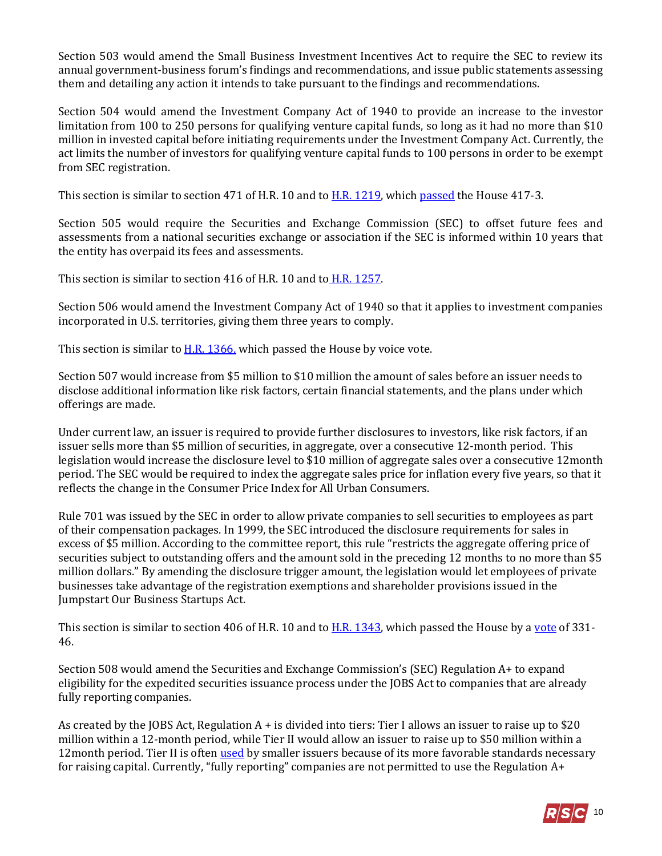Section 503 would amend the Small Business Investment Incentives Act to require the SEC to review its annual government-business forum's findings and recommendations, and issue public statements assessing them and detailing any action it intends to take pursuant to the findings and recommendations.

Section 504 would amend the Investment Company Act of 1940 to provide an increase to the investor limitation from 100 to 250 persons for qualifying venture capital funds, so long as it had no more than \$10 million in invested capital before initiating requirements under the Investment Company Act. Currently, the act limits the number of investors for qualifying venture capital funds to 100 persons in order to be exempt from SEC registration.

This section is similar to section 471 of H.R. 10 and to **H.R. 1219**, which [passed](http://clerk.house.gov/evs/2017/roll221.xml) the House 417-3.

Section 505 would require the Securities and Exchange Commission (SEC) to offset future fees and assessments from a national securities exchange or association if the SEC is informed within 10 years that the entity has overpaid its fees and assessments.

This section is similar to section 416 of H.R. 10 and to [H.R. 1257.](https://www.congress.gov/bill/115th-congress/house-bill/1257?q=%7B%22search%22%3A%5B%22H.R.+1257%22%5D%7D&r=1)

Section 506 would amend the Investment Company Act of 1940 so that it applies to investment companies incorporated in U.S. territories, giving them three years to comply.

This section is similar to **H.R. 1366**, which passed the House by voice vote.

Section 507 would increase from \$5 million to \$10 million the amount of sales before an issuer needs to disclose additional information like risk factors, certain financial statements, and the plans under which offerings are made.

Under current law, an issuer is required to provide further disclosures to investors, like risk factors, if an issuer sells more than \$5 million of securities, in aggregate, over a consecutive 12-month period. This legislation would increase the disclosure level to \$10 million of aggregate sales over a consecutive 12month period. The SEC would be required to index the aggregate sales price for inflation every five years, so that it reflects the change in the Consumer Price Index for All Urban Consumers.

Rule 701 was issued by the SEC in order to allow private companies to sell securities to employees as part of their compensation packages. In 1999, the SEC introduced the disclosure requirements for sales in excess of \$5 million. According to the committee report, this rule "restricts the aggregate offering price of securities subject to outstanding offers and the amount sold in the preceding 12 months to no more than \$5 million dollars." By amending the disclosure trigger amount, the legislation would let employees of private businesses take advantage of the registration exemptions and shareholder provisions issued in the Jumpstart Our Business Startups Act.

This section is similar to section 406 of H.R. 10 and to  $H.R. 1343$ , which passed the House by [a vote](http://clerk.house.gov/evs/2017/roll216.xml) of 331-46.

Section 508 would amend the Securities and Exchange Commission's (SEC) Regulation A+ to expand eligibility for the expedited securities issuance process under the JOBS Act to companies that are already fully reporting companies.

As created by the JOBS Act, Regulation  $A +$  is divided into tiers: Tier I allows an issuer to raise up to \$20 million within a 12-month period, while Tier II would allow an issuer to raise up to \$50 million within a 12month period. Tier II is ofte[n used](https://www.crowdfundinsider.com/2017/07/118889-new-improved-reg-may-soon-available-publicly-traded-firms/) by smaller issuers because of its more favorable standards necessary for raising capital. Currently, "fully reporting" companies are not permitted to use the Regulation A+

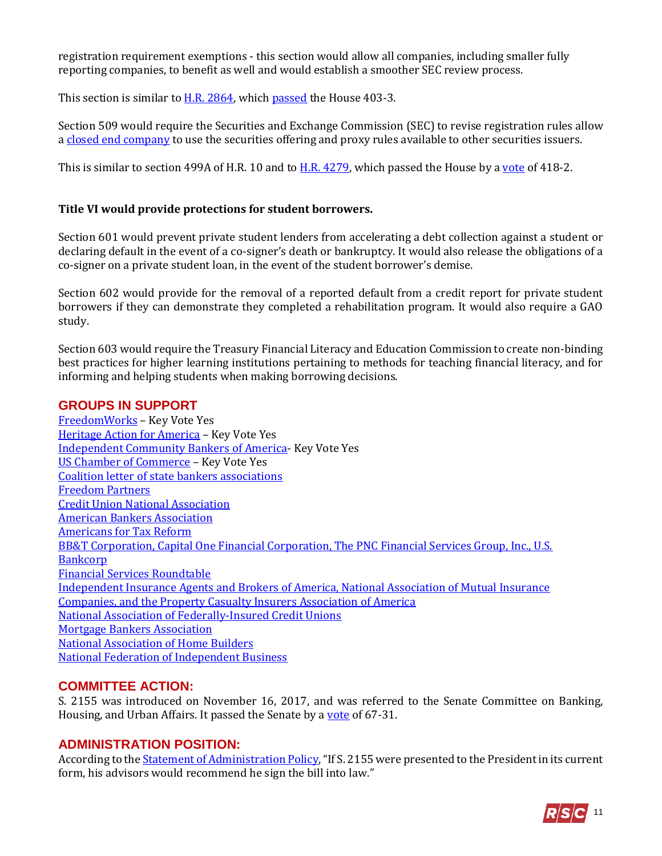registration requirement exemptions - this section would allow all companies, including smaller fully reporting companies, to benefit as well and would establish a smoother SEC review process.

This section is similar t[o H.R. 2864,](https://www.congress.gov/bill/115th-congress/house-bill/2864?q=%7B%22search%22%3A%5B%22H.R.+2864%22%5D%7D&r=1) which [passed](http://clerk.house.gov/evs/2017/roll440.xml) the House 403-3.

Section 509 would require the Securities and Exchange Commission (SEC) to revise registration rules allow a [closed end company](https://www.gpo.gov/fdsys/pkg/USCODE-2015-title15/pdf/USCODE-2015-title15-chap2D-subchapI-sec80a-4.pdf) to use the securities offering and proxy rules available to other securities issuers.

This is similar to section 499A of H.R. 10 and to  $H.R.$  4279, which passed the House by a [vote](http://clerk.house.gov/evs/2018/roll025.xml) of 418-2.

#### **Title VI would provide protections for student borrowers.**

Section 601 would prevent private student lenders from accelerating a debt collection against a student or declaring default in the event of a co-signer's death or bankruptcy. It would also release the obligations of a co-signer on a private student loan, in the event of the student borrower's demise.

Section 602 would provide for the removal of a reported default from a credit report for private student borrowers if they can demonstrate they completed a rehabilitation program. It would also require a GAO study.

Section 603 would require the Treasury Financial Literacy and Education Commission to create non-binding best practices for higher learning institutions pertaining to methods for teaching financial literacy, and for informing and helping students when making borrowing decisions.

#### **GROUPS IN SUPPORT**

[FreedomWorks](http://d7.freedomworks.org.s3.amazonaws.com/KVN_05_22_2018_Economic_Growth_Regulatory_Relief_and_Consumer_Protection_Act_S.%202155.pdf) – Key Vote Yes [Heritage Action for America](https://freedompartners.org/press/freedom-partners-commends-houses-flexibility-on-dodd-frank-reform/) – Key Vote Yes [Independent Community Bankers of America-](http://www.icba.org/docs/default-source/icba/advocacy-documents/letters-to-congress/18-05-21_2155keyvoteltr.pdf?sfvrsn=0) Key Vote Yes [US Chamber of Commerce](https://www.uschamber.com/sites/default/files/180521_kv_s2155_economicgrowthregulatoryreliefandconsumerprotection_house.pdf) – Key Vote Yes [Coalition letter of state bankers associations](https://www.aba.com/Advocacy/LetterstoCongress/Documents/State-Association-Letter-S2155.pdf) [Freedom Partners](https://freedompartners.org/press/freedom-partners-commends-houses-flexibility-on-dodd-frank-reform/) [Credit Union National Association](file:///C:/Users/alexa.walker/Downloads/2155%20letter%20to%20Speaker%20Ryan%20and%20Leader%20Pelosi.pdf) [American Bankers Association](https://www.aba.com/Advocacy/LetterstoCongress/Documents/Support-S2215-House-Consideration-051818.pdf) [Americans for Tax Reform](https://www.atr.org/atr-broadly-supports-sen-crapos-banking-reform-legislation) [BB&T Corporation, Capital One Financial Corporation, The PNC Financial Services Group, Inc., U.S.](https://financialservices.house.gov/blog/?postid=403467)  [Bankcorp](https://financialservices.house.gov/blog/?postid=403467) [Financial Services Roundtable](http://www.fsroundtable.org/bipartisan-crapo-regulatory-modernization-bill-will-boost-economic-growth/) [Independent Insurance Agents and Brokers of America, National Association of Mutual Insurance](https://financialservices.house.gov/blog/?postid=403467)  [Companies, and the Property Casualty Insurers Association of America](https://financialservices.house.gov/blog/?postid=403467) [National Association of Federally-Insured Credit Unions](https://www.nafcu.org/newsroom/nafcu-anticipates-historic-house-vote-s-2155-today) [Mortgage Bankers Association](https://www.mba.org/mba-newslinks/2018/may/mba-newslink-monday-5-21-18/residential/the-week-ahead) [National Association of Home Builders](https://www.banking.senate.gov/imo/media/doc/Support_NAHB%2011-28-17.pdf) [National Federation of Independent Business](https://www.banking.senate.gov/imo/media/doc/key-vote-nfib-3-8-18.pdf)

## **COMMITTEE ACTION:**

S. 2155 was introduced on November 16, 2017, and was referred to the Senate Committee on Banking, Housing, and Urban Affairs. It passed the Senate by a [vote](https://www.senate.gov/legislative/LIS/roll_call_lists/roll_call_vote_cfm.cfm?congress=115&session=2&vote=00054) of 67-31.

#### **ADMINISTRATION POSITION:**

According to the [Statement of Administration Policy](https://www.whitehouse.gov/wp-content/uploads/2018/05/saps2155r_20180521.pdf), "If S. 2155 were presented to the President in its current form, his advisors would recommend he sign the bill into law."